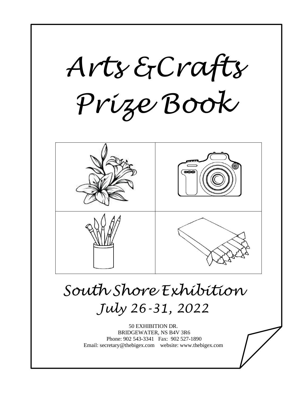

 $\overline{a}$ 

# *South Shore Exhibition July 26-31, 2022*

50 EXHIBITION DR. BRIDGEWATER, NS B4V 3R6 Phone: 902 543-3341 Fax: 902 527-1890 Email: secretary@thebigex.com website: www.thebigex.com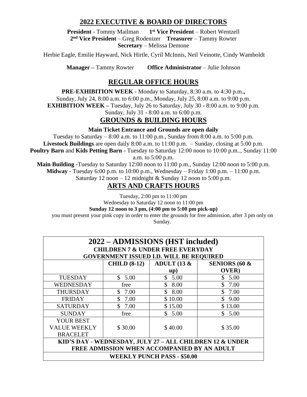### **2022 EXECUTIVE & BOARD OF DIRECTORS**

**President** - Tommy Mailman **1 st Vice President** – Robert Wentzell **2 nd Vice President** – Greg Rodenizer **Treasurer** – Tammy Rowter **Secretary** – Melissa Demone

Herbie Eagle, Emilie Hayward, Nick Hirtle, Cyril McInnis, Neil Veinotte, Cindy Wamboldt

**Manager –** Tammy Rowter **Office Administrator** – Julie Johnson

### **REGULAR OFFICE HOURS**

**PRE-EXHIBITION WEEK -** Monday to Saturday, 8:30 a.m. to 4:30 p.m.**,**

Sunday, July 24, 8:00 a.m. to 6:00 p.m., Monday, July 25, 8:00 a.m. to 9:00 p.m.

**EXHIBITION WEEK –** Tuesday, July 26 to Saturday, July 30 - 8:00 a.m. to 9:00 p.m.

Sunday, July 31 - 8:00 a.m. to 6:00 p.m.

### **GROUNDS & BUILDING HOURS**

**Main Ticket Entrance and Grounds are open daily**

Tuesday to Saturday  $-8:00$  a.m. to 11:00 p.m., Sunday from  $8:00$  a.m. to  $5:00$  p.m. **Livestock Buildings** are open daily 8:00 a.m. to 11:00 p.m. – Sunday, closing at 5:00 p.m. **Poultry Barn** and **Kids Petting Barn -** Tuesday to Saturday 12:00 noon to 10:00 p.m.., Sunday 11:00 a.m. to 5:00 p.m.

**Main Building -**Tuesday to Saturday 12:00 noon to 11:00 p.m., Sunday 12:00 noon to 5:00 p.m. **Midway** - Tuesday 6:00 p.m. to 10:00 p.m., Wednesday – Friday 1:00 p.m. – 11:00 p.m.

Saturday 12 noon – 12 midnight  $&$  Sunday 12 noon to 5:00 p.m.

### **ARTS AND CRAFTS HOURS**

Tuesday, 2:00 pm to 11:00 pm Wednesday to Saturday 12 noon to 11:00 pm

**Sunday 12 noon to 3 pm, (4:00 pm to 5:00 pm pick-up)**

you must present your pink copy in order to enter the grounds for free admission, after 3 pm only on Sunday.

| 2022 - ADMISSIONS (HST included)<br><b>CHILDREN 7 &amp; UNDER FREE EVERYDAY</b><br><b>GOVERNMENT ISSUED I.D. WILL BE REQUIRED</b> |                     |                |                          |
|-----------------------------------------------------------------------------------------------------------------------------------|---------------------|----------------|--------------------------|
|                                                                                                                                   | <b>CHILD (8-12)</b> | ADULT (13 $\&$ | <b>SENIORS (60 &amp;</b> |
|                                                                                                                                   |                     | up)            | <b>OVER</b> )            |
| <b>TUESDAY</b>                                                                                                                    | \$5.00              | \$5.00         | 5.00<br>\$               |
| WEDNESDAY                                                                                                                         | free                | \$8.00         | 7.00                     |
| <b>THURSDAY</b>                                                                                                                   | \$7.00              | \$8.00         | \$7.00                   |
| <b>FRIDAY</b>                                                                                                                     | \$<br>7.00          | \$10.00        | \$<br>9.00               |
| <b>SATURDAY</b>                                                                                                                   | \$7.00              | \$15.00        | \$13.00                  |
| <b>SUNDAY</b>                                                                                                                     | free                | \$5.00         | \$5.00                   |
| <b>YOUR BEST</b>                                                                                                                  |                     |                |                          |
| <b>VALUE WEEKLY</b>                                                                                                               | \$30.00             | \$40.00        | \$35.00                  |
| <b>BRACELET</b>                                                                                                                   |                     |                |                          |
| KID'S DAY - WEDNESDAY, JULY 27 - ALL CHILDREN 12 & UNDER                                                                          |                     |                |                          |
| FREE ADMISSION WHEN ACCOMPANIED BY AN ADULT                                                                                       |                     |                |                          |
| <b>WEEKLY PUNCH PASS - \$50.00</b>                                                                                                |                     |                |                          |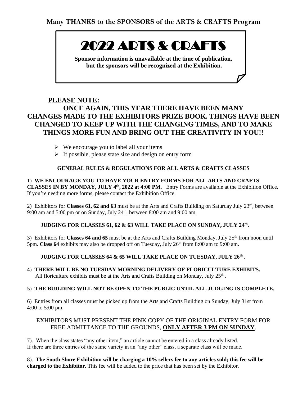# 2022 ARTS & CRAFTS

**Sponsor information is unavailable at the time of publication, but the sponsors will be recognized at the Exhibition.**

### **PLEASE NOTE: ONCE AGAIN, THIS YEAR THERE HAVE BEEN MANY CHANGES MADE TO THE EXHIBITORS PRIZE BOOK. THINGS HAVE BEEN CHANGED TO KEEP UP WITH THE CHANGING TIMES, AND TO MAKE THINGS MORE FUN AND BRING OUT THE CREATIVITY IN YOU!!**

- $\triangleright$  We encourage you to label all your items
- ➢ If possible, please state size and design on entry form

### **GENERAL RULES & REGULATIONS FOR ALL ARTS & CRAFTS CLASSES**

1) **WE ENCOURAGE YOU TO HAVE YOUR ENTRY FORMS FOR ALL ARTS AND CRAFTS CLASSES IN BY MONDAY, JULY 4<sup>th</sup>, 2022 at 4:00 PM.** Entry Forms are available at the Exhibition Office. If you're needing more forms, please contact the Exhibition Office.

2) Exhibitors for **Classes 61, 62 and 63** must be at the Arts and Crafts Building on Saturday July 23rd, between 9:00 am and 5:00 pm or on Sunday, July  $24<sup>th</sup>$ , between 8:00 am and 9:00 am.

### **JUDGING FOR CLASSES 61, 62 & 63 WILL TAKE PLACE ON SUNDAY, JULY 24<sup>th</sup>.**

3) Exhibitors for **Classes 64 and 65** must be at the Arts and Crafts Building Monday, July 25<sup>th</sup> from noon until 5pm. Class 64 exhibits may also be dropped off on Tuesday, July 26<sup>th</sup> from 8:00 am to 9:00 am.

### **JUDGING FOR CLASSES 64 & 65 WILL TAKE PLACE ON TUESDAY, JULY 26 th .**

4) **THERE WILL BE NO TUESDAY MORNING DELIVERY OF FLORICULTURE EXHIBITS.** All floriculture exhibits must be at the Arts and Crafts Building on Monday, July  $25<sup>th</sup>$ .

### 5) **THE BUILDING WILL NOT BE OPEN TO THE PUBLIC UNTIL ALL JUDGING IS COMPLETE.**

6) Entries from all classes must be picked up from the Arts and Crafts Building on Sunday, July 31st from 4:00 to 5:00 pm.

### EXHIBITORS MUST PRESENT THE PINK COPY OF THE ORIGINAL ENTRY FORM FOR FREE ADMITTANCE TO THE GROUNDS, **ONLY AFTER 3 PM ON SUNDAY**.

7). When the class states "any other item," an article cannot be entered in a class already listed. If there are three entries of the same variety in an "any other" class, a separate class will be made.

8). **The South Shore Exhibition will be charging a 10% sellers fee to any articles sold; this fee will be charged to the Exhibitor.** This fee will be added to the price that has been set by the Exhibitor.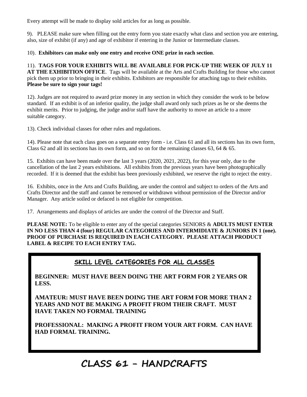Every attempt will be made to display sold articles for as long as possible.

9). PLEASE make sure when filling out the entry form you state exactly what class and section you are entering, also, size of exhibit (if any) and age of exhibitor if entering in the Junior or Intermediate classes.

10). **Exhibitors can make only one entry and receive ONE prize in each section**.

11). **TAGS FOR YOUR EXHIBITS WILL BE AVAILABLE FOR PICK-UP THE WEEK OF JULY 11 AT THE EXHIBITION OFFICE**. Tags will be available at the Arts and Crafts Building for those who cannot pick them up prior to bringing in their exhibits. Exhibitors are responsible for attaching tags to their exhibits. **Please be sure to sign your tags!**

12). Judges are not required to award prize money in any section in which they consider the work to be below standard. If an exhibit is of an inferior quality, the judge shall award only such prizes as he or she deems the exhibit merits. Prior to judging, the judge and/or staff have the authority to move an article to a more suitable category.

13). Check individual classes for other rules and regulations.

14). Please note that each class goes on a separate entry form - i.e. Class 61 and all its sections has its own form, Class 62 and all its sections has its own form, and so on for the remaining classes 63, 64 & 65.

15. Exhibits can have been made over the last 3 years (2020, 2021, 2022), for this year only, due to the cancellation of the last 2 years exhibitions. All exhibits from the previous years have been photographically recorded. If it is deemed that the exhibit has been previously exhibited, we reserve the right to reject the entry.

16. Exhibits, once in the Arts and Crafts Building, are under the control and subject to orders of the Arts and Crafts Director and the staff and cannot be removed or withdrawn without permission of the Director and/or Manager. Any article soiled or defaced is not eligible for competition.

17. Arrangements and displays of articles are under the control of the Director and Staff.

**PLEASE NOTE:** To be eligible to enter any of the special categories SENIORS & **ADULTS MUST ENTER IN NO LESS THAN 4 (four) REGULAR CATEGORIES AND INTERMIDIATE & JUNIORS IN 1 (one). PROOF OF PURCHASE IS REQUIRED IN EACH CATEGORY. PLEASE ATTACH PRODUCT LABEL & RECIPE TO EACH ENTRY TAG.**

### **SKILL LEVEL CATEGORIES FOR ALL CLASSES**

**BEGINNER: MUST HAVE BEEN DOING THE ART FORM FOR 2 YEARS OR LESS.**

**AMATEUR: MUST HAVE BEEN DOING THE ART FORM FOR MORE THAN 2 YEARS AND NOT BE MAKING A PROFIT FROM THEIR CRAFT. MUST HAVE TAKEN NO FORMAL TRAINING**

**PROFESSIONAL: MAKING A PROFIT FROM YOUR ART FORM. CAN HAVE HAD FORMAL TRAINING.** 

### **CLASS 61 - HANDCRAFTS**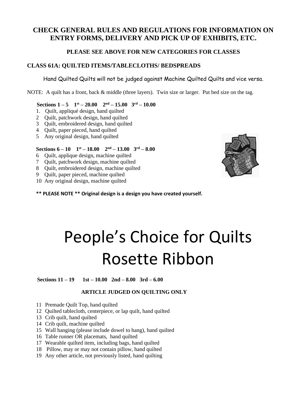### **CHECK GENERAL RULES AND REGULATIONS FOR INFORMATION ON ENTRY FORMS, DELIVERY AND PICK UP OF EXHIBITS, ETC.**

### **PLEASE SEE ABOVE FOR NEW CATEGORIES FOR CLASSES**

### **CLASS 61A: QUILTED ITEMS/TABLECLOTHS/ BEDSPREADS**

Hand Quilted Quilts will not be judged against Machine Quilted Quilts and vice versa.

NOTE: A quilt has a front, back & middle (three layers). Twin size or larger. Put bed size on the tag.

### **Sections**  $1 - 5$  **1**<sup>st</sup>  $- 20.00$  **2**<sup>nd</sup>  $- 15.00$  **3**<sup>rd</sup>  $- 10.00$

- 1. Quilt, appliqué design, hand quilted
- 2 Quilt, patchwork design, hand quilted
- 3 Quilt, embroidered design, hand quilted
- 4 Quilt, paper pieced, hand quilted
- 5 Any original design, hand quilted

### **Sections 6 – 10 1 st – 18.00 2nd – 13.00 3rd – 8.00**

- 6 Quilt, applique design, machine quilted
- 7 Quilt, patchwork design, machine quilted
- 8 Quilt, embroidered design, machine quilted
- 9 Quilt, paper pieced, machine quilted
- 10 Any original design, machine quilted
- **\*\* PLEASE NOTE \*\* Original design is a design you have created yourself.**



# People's Choice for Quilts Rosette Ribbon

 **Sections 11 – 19 1st – 10.00 2nd – 8.00 3rd – 6.00**

### **ARTICLE JUDGED ON QUILTING ONLY**

- 11 Premade Quilt Top, hand quilted
- 12 Quilted tablecloth, centerpiece, or lap quilt, hand quilted
- 13 Crib quilt, hand quilted
- 14 Crib quilt, machine quilted
- 15 Wall hanging (please include dowel to hang), hand quilted
- 16 Table runner OR placemats, hand quilted
- 17 Wearable quilted item, including bags, hand quilted
- 18 Pillow, may or may not contain pillow, hand quilted
- 19 Any other article, not previously listed, hand quilting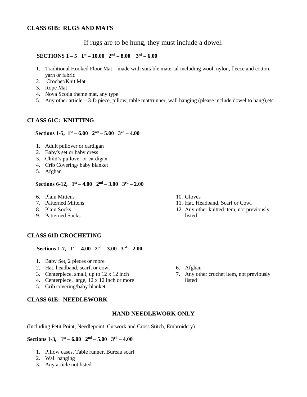If rugs are to be hung, they must include a dowel.

### **SECTIONS**  $1-5$   $1$ <sup>st</sup>  $-10.00$   $2^{nd} - 8.00$   $3^{rd} - 6.00$

- 1. Traditional Hooked Floor Mat made with suitable material including wool, nylon, fleece and cotton, yarn or fabric
- 2. Crochet/Knit Mat
- 3. Rope Mat
- 4. Nova Scotia theme mat, any type
- 5. Any other article 3-D piece, pillow, table mat/runner, wall hanging (please include dowel to hang),etc.

### **CLASS 61C: KNITTING**

### **Sections 1-5,**  $1^{st} - 6.00$   $2^{nd} - 5.00$   $3^{rd} - 4.00$

- 1. Adult pullover or cardigan
- 2. Baby's set or baby dress
- 3. Child's pullover or cardigan
- 4. Crib Covering/ baby blanket
- 5. Afghan

### **Sections 6-12,**  $1^{st} - 4.00$   $2^{nd} - 3.00$   $3^{rd} - 2.00$

- 6. Plain Mittens
- 7. Patterned Mittens
- 8. Plain Socks
- 9. Patterned Socks

### **CLASS 61D CROCHETING**

**Sections 1-7,**  $1^{st} - 4.00$   $2^{nd} - 3.00$   $3^{rd} - 2.00$ 

- 1. Baby Set, 2 pieces or more
- 2. Hat, headband, scarf, or cowl
- 3. Centerpiece, small, up to 12 x 12 inch
- 4. Centerpiece, large, 12 x 12 inch or more
- 5. Crib covering/baby blanket

### **CLASS 61E: NEEDLEWORK**

### **HAND NEEDLEWORK ONLY**

(Including Petit Point, Needlepoint, Cutwork and Cross Stitch, Embroidery)

### **Sections 1-3,**  $1^{st} - 6.00$   $2^{nd} - 5.00$   $3^{rd} - 4.00$

- 1. Pillow cases, Table runner, Bureau scarf
- 2. Wall hanging
- 3. Any article not listed
- 10. Gloves
- 11. Hat, Headband, Scarf or Cowl
- 12. Any other knitted item, not previously listed

- 6. Afghan
- 7. Any other crochet item, not previously listed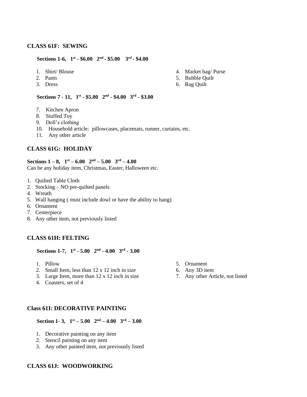### **CLASS 61F: SEWING**

#### **Sections 1-6,**  $1^{st}$  **-**  $$6.00$   $2^{nd}$  **-**  $$5.00$   $3^{rd}$  **-**  $$4.00$

- 1. Shirt/ Blouse
- 2. Pants
- 3. Dress
- 4. Market bag/ Purse
- 5. Bubble Quilt
- 6. Rag Quilt

#### **Sections 7 - 11,**  $1^{st}$  **- \$5.00**  $2^{nd}$  **- \$4.00**  $3^{rd}$  **- \$3.00**

- 7. Kitchen Apron
- 8. Stuffed Toy
- 9. Doll's clothing
- 10. Household article: pillowcases, placemats, runner, curtains, etc.
- 11. Any other article

### **CLASS 61G: HOLIDAY**

#### **Sections 1** – **8**,  $1^{st}$  – **6.00**  $2^{nd}$  – **5.00**  $3^{rd}$  – **4.00**

Can be any holiday item, Christmas, Easter, Halloween etc.

- 1. Quilted Table Cloth
- 2. Stocking NO pre-quilted panels
- 4. Wreath
- 5. Wall hanging ( must include dowl or have the ability to hang)
- 6. Ornament
- 7. Centerpiece
- 8. Any other item, not previously listed

### **CLASS 61H: FELTING**

#### **Sections 1-7,**  $1^{st}$  **- 5.00**  $2^{nd}$  **- 4.00**  $3^{rd}$  **- 3.00**

- 1. Pillow
- 2. Small Item, less than 12 x 12 inch in size
- 3. Large Item, more than 12 x 12 inch in size
- 4. Coasters, set of 4

#### **Class 61I: DECORATIVE PAINTING**

 **Section 1- 3,**  $1^{st} - 5.00$   $2^{nd} - 4.00$   $3^{rd} - 3.00$ 

- 1. Decorative painting on any item
- 2. Stencil painting on any item
- 3. Any other painted item, not previously listed

### **CLASS 61J: WOODWORKING**

- 5. Ornament
- 6. Any 3D item
- 7. Any other Article, not listed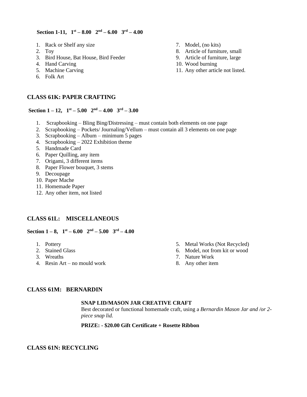#### **Section 1-11,**  $1^{st} - 8.00$   $2^{nd} - 6.00$   $3^{rd} - 4.00$

- 1. Rack or Shelf any size
- 2. Toy
- 3. Bird House, Bat House, Bird Feeder
- 4. Hand Carving
- 5. Machine Carving
- 6. Folk Art

### **CLASS 61K: PAPER CRAFTING**

### **Section**  $1 - 12$ ,  $1$ <sup>st</sup>  $- 5.00$   $2$ <sup>nd</sup>  $- 4.00$   $3$ <sup>rd</sup>  $- 3.00$

- 1. Scrapbooking Bling Bing/Distressing must contain both elements on one page
- 2. Scrapbooking Pockets/ Journaling/Vellum must contain all 3 elements on one page
- 3. Scrapbooking Album minimum 5 pages
- 4. Scrapbooking 2022 Exhibition theme
- 5. Handmade Card
- 6. Paper Quilling, any item
- 7. Origami, 3 different items
- 8. Paper Flower bouquet, 3 stems
- 9. Decoupage
- 10. Paper Mache
- 11. Homemade Paper
- 12. Any other item, not listed

### **CLASS 61L: MISCELLANEOUS**

### **Section**  $1-8$ ,  $1$ <sup>st</sup>  $-6.00$   $2$ <sup>nd</sup>  $-5.00$   $3$ <sup>rd</sup>  $-4.00$

- 1. Pottery
- 2. Stained Glass
- 3. Wreaths
- 4. Resin Art no mould work
- 5. Metal Works (Not Recycled)
- 6. Model, not from kit or wood
- 7. Nature Work
- 8. Any other item

### **CLASS 61M: BERNARDIN**

### **SNAP LID/MASON JAR CREATIVE CRAFT**

Best decorated or functional homemade craft, using a *Bernardin Mason Jar and /or 2 piece snap lid.*

### **PRIZE: - \$20.00 Gift Certificate + Rosette Ribbon**

### **CLASS 61N: RECYCLING**

- 7. Model, (no kits)
- 8. Article of furniture, small
- 9. Article of furniture, large
- 10. Wood burning
- 11. Any other article not listed.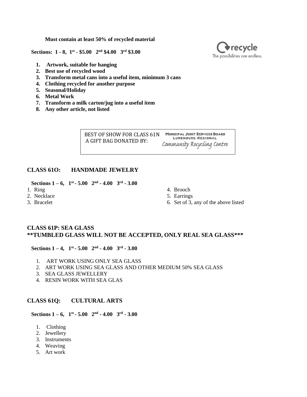**Must contain at least 50% of recycled material**

 **Sections: 1 - 8, 1st - \$5.00 2nd \$4.00 3rd \$3.00**

- **1. Artwork, suitable for hanging**
- **2. Best use of recycled wood**
- **3. Transform metal cans into a useful item, minimum 3 cans**
- **4. Clothing recycled for another purpose**
- **5. Seasonal/Holiday**
- **6. Metal Work**
- **7. Transform a milk carton/jug into a useful item**
- **8. Any other article, not listed**

BEST OF SHOW FOR CLASS 61N MUNICIPAL JOINT SERVICES BOARD **LUNENBURG REGIONAL** A GIFT BAG DONATED BY: Community Recycling Centre

### **CLASS 61O: HANDMADE JEWELRY**

**Sections 1** – **6,**  $1^{st}$  **- 5.00**  $2^{nd}$  **- 4.00**  $3^{rd}$  **- 3.00** 

- 1. Ring
- 2. Necklace
- 3. Bracelet
- 4. Brooch
- 5. Earrings
- 6. Set of 3, any of the above listed

### **CLASS 61P: SEA GLASS \*\*TUMBLED GLASS WILL NOT BE ACCEPTED, ONLY REAL SEA GLASS\*\*\***

### **Sections 1** – **4,**  $1^{st}$  **- 5.00**  $2^{nd}$  **- 4.00**  $3^{rd}$  **- 3.00**

- 1. ART WORK USING ONLY SEA GLASS
- 2. ART WORK USING SEA GLASS AND OTHER MEDIUM 50% SEA GLASS
- 3. SEA GLASS JEWELLERY
- 4. RESIN WORK WITH SEA GLAS

### **CLASS 61Q: CULTURAL ARTS**

**Sections 1** – **6,**  $1^{st}$  **- 5.00**  $2^{nd}$  **- 4.00**  $3^{rd}$  **- 3.00** 

- 1. Clothing
- 2. Jewellery
- 3. Instruments
- 4. Weaving
- 5. Art work

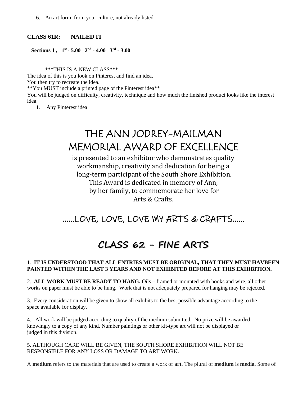6. An art form, from your culture, not already listed

### **CLASS 61R: NAILED IT**

### **Sections 1**,  $1^{st}$  **- 5.00**  $2^{nd}$  **- 4.00**  $3^{rd}$  **- 3.00**

\*\*\*THIS IS A NEW CLASS\*\*\*

The idea of this is you look on Pinterest and find an idea. You then try to recreate the idea. \*\*You MUST include a printed page of the Pinterest idea\*\* You will be judged on difficulty, creativity, technique and how much the finished product looks like the interest idea.

1. Any Pinterest idea

### THE ANN JODREY-MAILMAN MEMORIAL AWARD OF EXCELLENCE

is presented to an exhibitor who demonstrates quality workmanship, creativity and dedication for being a long-term participant of the South Shore Exhibition. This Award is dedicated in memory of Ann, by her family, to commemorate her love for Arts & Crafts.

### ……LOVE, LOVE, LOVE MY ARTS & CRAFTS……

### **CLASS 62 - FINE ARTS**

### 1. **IT IS UNDERSTOOD THAT ALL ENTRIES MUST BE ORIGINAL, THAT THEY MUST HAVBEEN PAINTED WITHIN THE LAST 3 YEARS AND NOT EXHIBITED BEFORE AT THIS EXHIBITION.**

2. **ALL WORK MUST BE READY TO HANG.** Oils – framed or mounted with hooks and wire, all other works on paper must be able to be hung. Work that is not adequately prepared for hanging may be rejected.

3. Every consideration will be given to show all exhibits to the best possible advantage according to the space available for display.

4. All work will be judged according to quality of the medium submitted. No prize will be awarded knowingly to a copy of any kind. Number paintings or other kit-type art will not be displayed or judged in this division.

5. ALTHOUGH CARE WILL BE GIVEN, THE SOUTH SHORE EXHIBITION WILL NOT BE RESPONSIBLE FOR ANY LOSS OR DAMAGE TO ART WORK.

A **medium** refers to the materials that are used to create a work of **art**. The plural of **medium** is **media**. Some of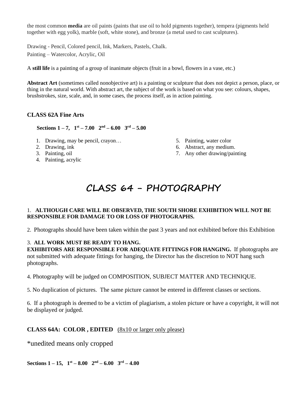the most common **media** are oil paints (paints that use oil to hold pigments together), tempera (pigments held together with egg yolk), marble (soft, white stone), and bronze (a metal used to cast sculptures).

Drawing - Pencil, Colored pencil, Ink, Markers, Pastels, Chalk. Painting – Watercolor, Acrylic, Oil

A **still life** is a painting of a group of inanimate objects (fruit in a bowl, flowers in a vase, etc.)

**Abstract Art** (sometimes called nonobjective art) is a painting or sculpture that does not depict a person, place, or thing in the natural world. With abstract art, the subject of the work is based on what you see: colours, shapes, brushstrokes, size, scale, and, in some cases, the process itself, as in action painting.

### **CLASS 62A Fine Arts**

 **Sections**  $1 - 7$ ,  $1^{st} - 7.00$   $2^{nd} - 6.00$   $3^{rd} - 5.00$ 

- 1. Drawing, may be pencil, crayon…
- 2. Drawing, ink
- 3. Painting, oil
- 4. Painting, acrylic
- 5. Painting, water color
	- 6. Abstract, any medium.
	- 7. Any other drawing/painting

### **CLASS 64 - PHOTOGRAPHY**

### 1. **ALTHOUGH CARE WILL BE OBSERVED, THE SOUTH SHORE EXHIBITION WILL NOT BE RESPONSIBLE FOR DAMAGE TO OR LOSS OF PHOTOGRAPHS.**

2. Photographs should have been taken within the past 3 years and not exhibited before this Exhibition

### 3. **ALL WORK MUST BE READY TO HANG.**

**EXHIBITORS ARE RESPONSIBLE FOR ADEQUATE FITTINGS FOR HANGING.** If photographs are not submitted with adequate fittings for hanging, the Director has the discretion to NOT hang such photographs.

4. Photography will be judged on COMPOSITION, SUBJECT MATTER AND TECHNIQUE.

5. No duplication of pictures. The same picture cannot be entered in different classes or sections.

6. If a photograph is deemed to be a victim of plagiarism, a stolen picture or have a copyright, it will not be displayed or judged.

### **CLASS 64A: COLOR , EDITED** (8x10 or larger only please)

\*unedited means only cropped

**Sections**  $1-15$ ,  $1^{\text{st}} - 8.00$   $2^{\text{nd}} - 6.00$   $3^{\text{rd}} - 4.00$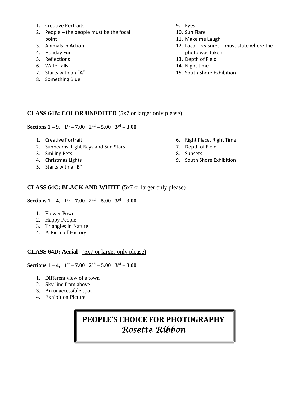- 1. Creative Portraits
- 2. People the people must be the focal point
- 3. Animals in Action
- 4. Holiday Fun
- 5. Reflections
- 6. Waterfalls
- 7. Starts with an "A"
- 8. Something Blue
- 9. Eyes
- 10. Sun Flare
- 11. Make me Laugh
- 12. Local Treasures must state where the photo was taken
- 13. Depth of Field
- 14. Night time
- 15. South Shore Exhibition

### **CLASS 64B: COLOR UNEDITED** (5x7 or larger only please)

### **Sections 1** – **9**,  $1^{st}$  – **7.00**  $2^{nd}$  – **5.00**  $3^{rd}$  – **3.00**

- 1. Creative Portrait
- 2. Sunbeams, Light Rays and Sun Stars
- 3. Smiling Pets
- 4. Christmas Lights
- 5. Starts with a "B"
- 6. Right Place, Right Time
- 7. Depth of Field
- 8. Sunsets
- 9. South Shore Exhibition

### **CLASS 64C: BLACK AND WHITE** (5x7 or larger only please)

**Sections 1** – **4,**  $1^{st}$  – **7.00**  $2^{nd}$  – **5.00**  $3^{rd}$  – **3.00** 

- 1. Flower Power
- 2. Happy People
- 3. Triangles in Nature
- 4. A Piece of History

### **CLASS 64D: Aerial** (5x7 or larger only please)

### **Sections 1** – **4,**  $1^{st}$  – **7.00**  $2^{nd}$  – **5.00**  $3^{rd}$  – **3.00**

- 1. Different view of a town
- 2. Sky line from above
- 3. An unaccessible spot
- 4. Exhibition Picture

### **PEOPLE'S CHOICE FOR PHOTOGRAPHY** *Rosette Ribbon*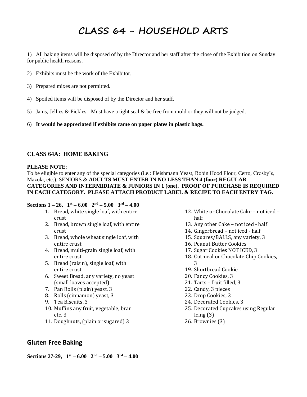### **CLASS 64 - HOUSEHOLD ARTS**

1) All baking items will be disposed of by the Director and her staff after the close of the Exhibition on Sunday for public health reasons.

- 2) Exhibits must be the work of the Exhibitor.
- 3) Prepared mixes are not permitted.
- 4) Spoiled items will be disposed of by the Director and her staff.
- 5) Jams, Jellies & Pickles Must have a tight seal & be free from mold or they will not be judged.
- 6) **It would be appreciated if exhibits came on paper plates in plastic bags.**

### **CLASS 64A: HOME BAKING**

#### **PLEASE NOTE**:

To be eligible to enter any of the special categories (i.e.: Fleishmann Yeast, Robin Hood Flour, Certo, Crosby's, Mazola, etc.), SENIORS & **ADULTS MUST ENTER IN NO LESS THAN 4 (four) REGULAR CATEGORIES AND INTERMIDIATE & JUNIORS IN 1 (one). PROOF OF PURCHASE IS REQUIRED IN EACH CATEGORY. PLEASE ATTACH PRODUCT LABEL & RECIPE TO EACH ENTRY TAG.**

#### **Sections**  $1 - 26$ ,  $1<sup>st</sup> - 6.00$   $2<sup>nd</sup> - 5.00$   $3<sup>rd</sup> - 4.00$

- 1. Bread, white single loaf, with entire crust
- 2. Bread, brown single loaf, with entire crust
- 3. Bread, whole wheat single loaf, with entire crust
- 4. Bread, multi-grain single loaf, with entire crust
- 5. Bread (raisin), single loaf, with entire crust
- 6. Sweet Bread, any variety, no yeast (small loaves accepted)
- 7. Pan Rolls (plain) yeast, 3
- 8. Rolls (cinnamon) yeast, 3
- 9. Tea Biscuits, 3
- 10. Muffins any fruit, vegetable, bran etc. 3
- 11. Doughnuts, (plain or sugared) 3
- 12. White or Chocolate Cake not iced half
- 13. Any other Cake not iced half
- 14. Gingerbread not iced half
- 15. Squares/BALLS, any variety, 3
- 16. Peanut Butter Cookies
- 17. Sugar Cookies NOT ICED, 3
- 18. Oatmeal or Chocolate Chip Cookies, 3
- 19. Shortbread Cookie
- 20. Fancy Cookies, 3
- 21. Tarts fruit filled, 3
- 22. Candy, 3 pieces
- 23. Drop Cookies, 3
- 24. Decorated Cookies, 3
- 25. Decorated Cupcakes using Regular Icing (3)
- 26. Brownies (3)

### **Gluten Free Baking**

**Sections 27-29, 1st – 6.00 2nd – 5.00 3rd – 4.00**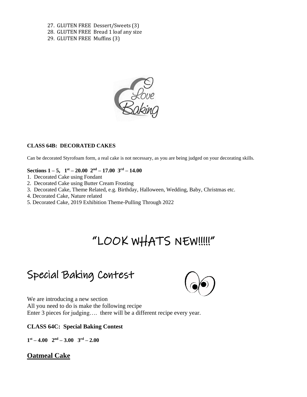27. GLUTEN FREE Dessert/Sweets (3) 28. GLUTEN FREE Bread 1 loaf any size 29. GLUTEN FREE Muffins (3)



### **CLASS 64B: DECORATED CAKES**

Can be decorated Styrofoam form, a real cake is not necessary, as you are being judged on your decorating skills.

### **Sections 1** – **5,**  $1^{st}$  – **20.00**  $2^{nd}$  – **17.00**  $3^{rd}$  – **14.00**

- 1. Decorated Cake using Fondant
- 2. Decorated Cake using Butter Cream Frosting
- 3. Decorated Cake, Theme Related, e.g. Birthday, Halloween, Wedding, Baby, Christmas etc.
- 4. Decorated Cake, Nature related
- 5. Decorated Cake, 2019 Exhibition Theme-Pulling Through 2022

## "LOOK WHATS NEW!!!!!"

### Special Baking Contest



We are introducing a new section All you need to do is make the following recipe Enter 3 pieces for judging…. there will be a different recipe every year.

### **CLASS 64C: Special Baking Contest**

**1 st – 4.00 2nd – 3.00 3 rd – 2.00**

### **Oatmeal Cake**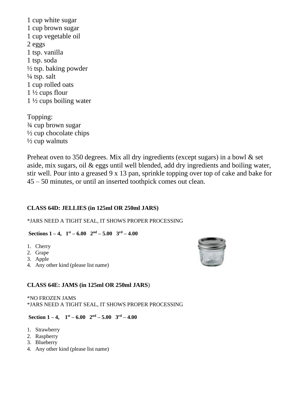1 cup white sugar 1 cup brown sugar 1 cup vegetable oil 2 eggs 1 tsp. vanilla 1 tsp. soda ½ tsp. baking powder  $\frac{1}{4}$  tsp. salt 1 cup rolled oats 1 ½ cups flour 1 ½ cups boiling water

Topping: ¾ cup brown sugar  $\frac{1}{2}$  cup chocolate chips  $\frac{1}{2}$  cup walnuts

Preheat oven to 350 degrees. Mix all dry ingredients (except sugars) in a bowl & set aside, mix sugars, oil & eggs until well blended, add dry ingredients and boiling water, stir well. Pour into a greased 9 x 13 pan, sprinkle topping over top of cake and bake for 45 – 50 minutes, or until an inserted toothpick comes out clean.

### **CLASS 64D: JELLIES (in 125ml OR 250ml JARS)**

\*JARS NEED A TIGHT SEAL, IT SHOWS PROPER PROCESSING

### **Sections**  $1-4$ ,  $1^{\text{st}} - 6.00$   $2^{\text{nd}} - 5.00$   $3^{\text{rd}} - 4.00$

- 1. Cherry
- 2. Grape
- 3. Apple
- 4. Any other kind (please list name)



### **CLASS 64E: JAMS (in 125ml OR 250ml JARS**)

\*NO FROZEN JAMS \*JARS NEED A TIGHT SEAL, IT SHOWS PROPER PROCESSING

### **Section**  $1-4$ ,  $1^{\text{st}} - 6.00$   $2^{\text{nd}} - 5.00$   $3^{\text{rd}} - 4.00$

- 1. Strawberry
- 2. Raspberry
- 3. Blueberry
- 4. Any other kind (please list name)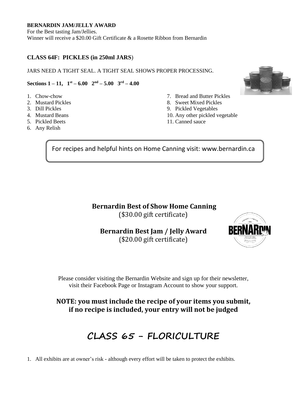### **BERNARDIN JAM/JELLY AWARD**

For the Best tasting Jam/Jellies. Winner will receive a \$20.00 Gift Certificate & a Rosette Ribbon from Bernardin

### **CLASS 64F: PICKLES (in 250ml JARS**)

JARS NEED A TIGHT SEAL. A TIGHT SEAL SHOWS PROPER PROCESSING.

### **Sections 1** – **11,**  $1^{st}$  – **6.00**  $2^{nd}$  – **5.00**  $3^{rd}$  – **4.00**

- 1. Chow-chow
- 2. Mustard Pickles
- 3. Dill Pickles
- 4. Mustard Beans
- 5. Pickled Beets
- 6. Any Relish
- 7. Bread and Butter Pickles
- 8. Sweet Mixed Pickles
- 9. Pickled Vegetables
- 10. Any other pickled vegetable
- 11. Canned sauce

For recipes and helpful hints on Home Canning visit: www.bernardin.ca

Ī

### **Bernardin Best of Show Home Canning**

(\$30.00 gift certificate)

### **Bernardin Best Jam / Jelly Award**

(\$20.00 gift certificate)



Please consider visiting the Bernardin Website and sign up for their newsletter, visit their Facebook Page or Instagram Account to show your support.

**NOTE: you must include the recipe of your items you submit, if no recipe is included, your entry will not be judged**

### **CLASS 65 - FLORICULTURE**

1. All exhibits are at owner's risk - although every effort will be taken to protect the exhibits.

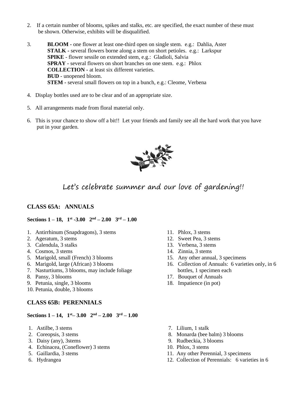- 2. If a certain number of blooms, spikes and stalks, etc. are specified, the exact number of these must be shown. Otherwise, exhibits will be disqualified.
- 3. **BLOOM -** one flower at least one-third open on single stem. e.g.: Dahlia, Aster **STALK -** several flowers borne along a stem on short petioles. e.g.: Larkspur **SPIKE** - flower sessile on extended stem, e.g.: Gladioli, Salvia **SPRAY -** several flowers on short branches on one stem. e.g.: Phlox **COLLECTION -** at least six different varieties. **BUD** - unopened bloom. **STEM -** several small flowers on top in a bunch, e.g.: Cleome, Verbena
- 4. Display bottles used are to be clear and of an appropriate size.
- 5. All arrangements made from floral material only.
- 6. This is your chance to show off a bit!! Let your friends and family see all the hard work that you have put in your garden.



### Let's celebrate summer and our love of gardening!!

### **CLASS 65A: ANNUALS**

#### **Sections 1 – 18, 1 st -3.00 2 nd – 2.00 3 rd – 1.00**

- 1. Antirrhinum (Snapdragons), 3 stems
- 2. Ageratum, 3 stems
- 3. Calendula, 3 stalks
- 4. Cosmos, 3 stems
- 5. Marigold, small (French) 3 blooms
- 6. Marigold, large (African) 3 blooms
- 7. Nasturtiums, 3 blooms, may include foliage
- 8. Pansy, 3 blooms
- 9. Petunia, single, 3 blooms
- 10. Petunia, double, 3 blooms

### **CLASS 65B: PERENNIALS**

#### **Sections 1 – 14, 1 st– 3.00 2nd – 2.00 3rd – 1.00**

- 1. Astilbe, 3 stems
- 2. Coreopsis, 3 stems
- 3. Daisy (any), 3stems
- 4. Echinacea, (Coneflower) 3 stems
- 5. Gaillardia, 3 stems
- 6. Hydrangea
- 11. Phlox, 3 stems
- 12. Sweet Pea, 3 stems
- 13. Verbena, 3 stems
- 14. Zinnia, 3 stems
- 15. Any other annual, 3 specimens
- 16. Collection of Annuals: 6 varieties only, in 6 bottles, 1 specimen each
- 17. Bouquet of Annuals
- 18. Impatience (in pot)
- 7. Lilium, 1 stalk
- 8. Monarda (bee balm) 3 blooms
- 9. Rudbeckia, 3 blooms
- 10. Phlox, 3 stems
- 11. Any other Perennial, 3 specimens
- 12. Collection of Perennials: 6 varieties in 6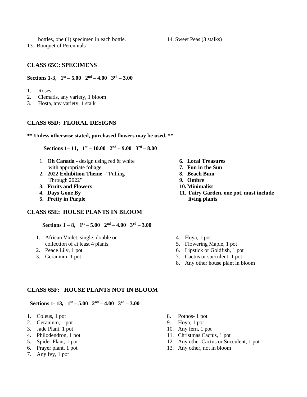bottles, one (1) specimen in each bottle.

13. Bouquet of Perennials

### **CLASS 65C: SPECIMENS**

**Sections 1-3,**  $1^{st} - 5.00$   $2^{nd} - 4.00$   $3^{rd} - 3.00$ 

- 1. Roses
- 2. Clematis, any variety, 1 bloom
- 3. Hosta, any variety, 1 stalk

### **CLASS 65D: FLORAL DESIGNS**

#### **\*\* Unless otherwise stated, purchased flowers may be used. \*\***

 **Sections 1–11,**  $1^{st} - 10.00$   $2^{nd} - 9.00$   $3^{rd} - 8.00$ 

- 1. **Oh Canada** design using red & white with appropriate foliage.
- **2. 2022 Exhibition Theme** –"Pulling Through 2022"
- **3. Fruits and Flowers**
- **4. Days Gone By**
- **5. Pretty in Purple**

### **CLASS 65E: HOUSE PLANTS IN BLOOM**

**Sections 1** – **8**,  $1^{st}$  – **5.00**  $2^{nd}$  – **4.00**  $3^{rd}$  – **3.00** 

- 1. African Violet, single, double or collection of at least 4 plants.
- 2. Peace Lily, 1 pot
- 3. Geranium, 1 pot
- **6. Local Treasures**
- **7. Fun in the Sun**
- **8. Beach Bum**
- **9. Ombre**
- **10. Minimalist**
- **11. Fairy Garden, one pot, must include living plants**
- 4. Hoya, 1 pot
- 5. Flowering Maple, 1 pot
- 6. Lipstick or Goldfish, 1 pot
- 7. Cactus or succulent, 1 pot
- 8. Any other house plant in bloom

### **CLASS 65F: HOUSE PLANTS NOT IN BLOOM**

 **Sections 1-13,**  $1^{st} - 5.00$   $2^{nd} - 4.00$   $3^{rd} - 3.00$ 

- 1. Coleus, 1 pot
- 2. Geranium, 1 pot
- 3. Jade Plant, 1 pot
- 4. Philodendron, 1 pot
- 5. Spider Plant, 1 pot
- 6. Prayer plant, 1 pot
- 7. Any Ivy, 1 pot
- 8. Pothos- 1 pot
- 9. Hoya, 1 pot
- 10. Any fern, 1 pot
- 11. Christmas Cactus, 1 pot
- 12. Any other Cactus or Succulent, 1 pot
- 13. Any other, not in bloom

14. Sweet Peas (3 stalks)